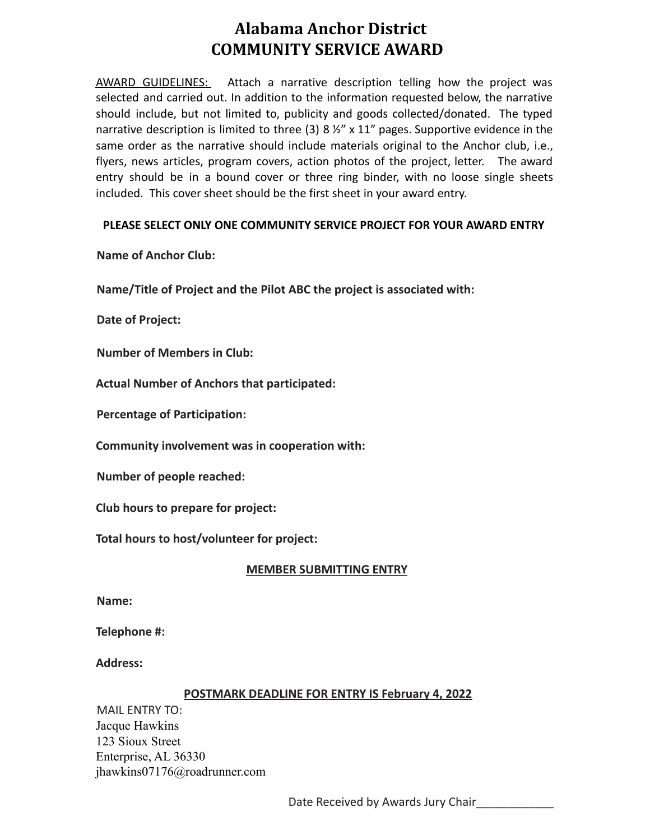# **Alabama Anchor District COMMUNITY SERVICE AWARD**

AWARD GUIDELINES: Attach a narrative description telling how the project was selected and carried out. In addition to the information requested below, the narrative should include, but not limited to, publicity and goods collected/donated. The typed narrative description is limited to three (3) 8 %" x 11" pages. Supportive evidence in the same order as the narrative should include materials original to the Anchor club, i.e., flyers, news articles, program covers, action photos of the project, letter. The award entry should be in a bound cover or three ring binder, with no loose single sheets included. This cover sheet should be the first sheet in your award entry.

## **PLEASE SELECT ONLY ONE COMMUNITY SERVICE PROJECT FOR YOUR AWARD ENTRY**

**Name of Anchor Club:**

**Name/Title of Project and the Pilot ABC the project is associated with:**

**Date of Project:**

**Number of Members in Club:**

**Actual Number of Anchors that participated:**

**Percentage of Participation:**

**Community involvement was in cooperation with:**

**Number of people reached:**

**Club hours to prepare for project:**

**Total hours to host/volunteer for project:**

#### **MEMBER SUBMITTING ENTRY**

**Name:**

**Telephone #:**

**Address:**

#### **POSTMARK DEADLINE FOR ENTRY IS February 4, 2022**

MAIL ENTRY TO: Jacque Hawkins 123 Sioux Street Enterprise, AL 36330 jhawkins07176@roadrunner.com

Date Received by Awards Jury Chair